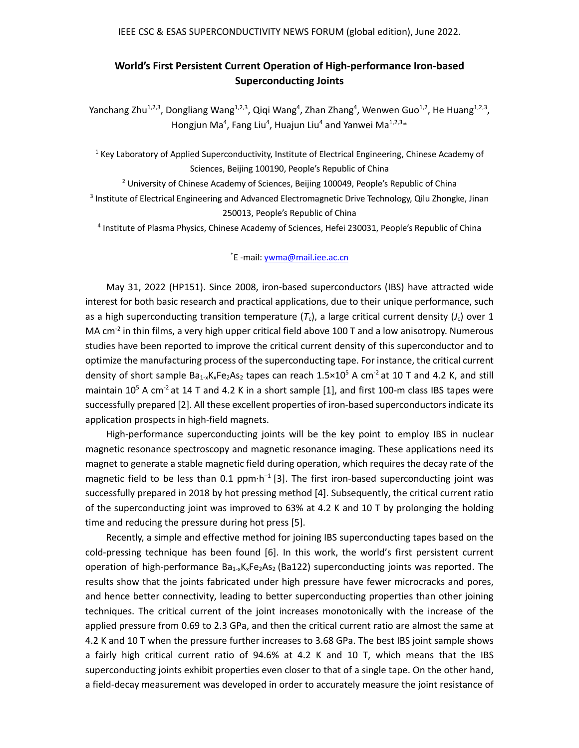## **World's First Persistent Current Operation of High-performance Iron-based Superconducting Joints**

Yanchang Zhu<sup>1,2,3</sup>, Dongliang Wang<sup>1,2,3</sup>, Qiqi Wang<sup>4</sup>, Zhan Zhang<sup>4</sup>, Wenwen Guo<sup>1,2</sup>, He Huang<sup>1,2,3</sup>, Hongjun Ma<sup>4</sup>, Fang Liu<sup>4</sup>, Huajun Liu<sup>4</sup> and Yanwei Ma<sup>1,2,3,</sup>\*

<sup>1</sup> Key Laboratory of Applied Superconductivity, Institute of Electrical Engineering, Chinese Academy of Sciences, Beijing 100190, People's Republic of China

 $2$  University of Chinese Academy of Sciences, Beijing 100049, People's Republic of China <sup>3</sup> Institute of Electrical Engineering and Advanced Electromagnetic Drive Technology, Qilu Zhongke, Jinan 250013, People's Republic of China

<sup>4</sup> Institute of Plasma Physics, Chinese Academy of Sciences, Hefei 230031, People's Republic of China

## \* E -mail: [ywma@mail.iee.ac.cn](mailto:ywma@mail.iee.ac.cn)

 May 31, 2022 (HP151). Since 2008, iron-based superconductors (IBS) have attracted wide interest for both basic research and practical applications, due to their unique performance, such as a high superconducting transition temperature  $(T_c)$ , a large critical current density  $(J_c)$  over 1 MA  $cm^{-2}$  in thin films, a very high upper critical field above 100 T and a low anisotropy. Numerous studies have been reported to improve the critical current density of this superconductor and to optimize the manufacturing process of the superconducting tape. For instance, the critical current density of short sample  $Ba_{1-x}K_xFe_2As_2$  tapes can reach  $1.5\times10^5$  A cm<sup>-2</sup> at 10 T and 4.2 K, and still maintain  $10^5$  A cm<sup>-2</sup> at 14 T and 4.2 K in a short sample [1], and first 100-m class IBS tapes were successfully prepared [2]. All these excellent properties of iron-based superconductors indicate its application prospects in high-field magnets.

High-performance superconducting joints will be the key point to employ IBS in nuclear magnetic resonance spectroscopy and magnetic resonance imaging. These applications need its magnet to generate a stable magnetic field during operation, which requires the decay rate of the magnetic field to be less than 0.1 ppm·h<sup>-1</sup> [3]. The first iron-based superconducting joint was successfully prepared in 2018 by hot pressing method [4]. Subsequently, the critical current ratio of the superconducting joint was improved to 63% at 4.2 K and 10 T by prolonging the holding time and reducing the pressure during hot press [5].

Recently, a simple and effective method for joining IBS superconducting tapes based on the cold-pressing technique has been found [6]. In this work, the world's first persistent current operation of high-performance  $Ba_{1-x}K_xFe_2As_2$  (Ba122) superconducting joints was reported. The results show that the joints fabricated under high pressure have fewer microcracks and pores, and hence better connectivity, leading to better superconducting properties than other joining techniques. The critical current of the joint increases monotonically with the increase of the applied pressure from 0.69 to 2.3 GPa, and then the critical current ratio are almost the same at 4.2 K and 10 T when the pressure further increases to 3.68 GPa. The best IBS joint sample shows a fairly high critical current ratio of 94.6% at 4.2 K and 10 T, which means that the IBS superconducting joints exhibit properties even closer to that of a single tape. On the other hand, a field-decay measurement was developed in order to accurately measure the joint resistance of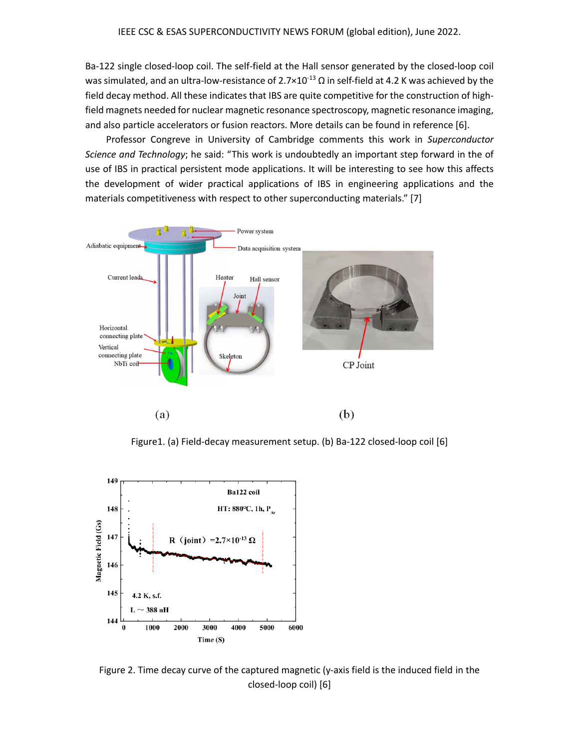Ba-122 single closed-loop coil. The self-field at the Hall sensor generated by the closed-loop coil was simulated, and an ultra-low-resistance of  $2.7 \times 10^{-13}$  Ω in self-field at 4.2 K was achieved by the field decay method. All these indicates that IBS are quite competitive for the construction of highfield magnets needed for nuclear magnetic resonance spectroscopy, magnetic resonance imaging, and also particle accelerators or fusion reactors. More details can be found in reference [6].

Professor Congreve in University of Cambridge comments this work in *Superconductor Science and Technology*; he said: "This work is undoubtedly an important step forward in the of use of IBS in practical persistent mode applications. It will be interesting to see how this affects the development of wider practical applications of IBS in engineering applications and the materials competitiveness with respect to other superconducting materials." [7]



Figure1. (a) Field-decay measurement setup. (b) Ba-122 closed-loop coil [6]



Figure 2. Time decay curve of the captured magnetic (y-axis field is the induced field in the closed-loop coil) [6]